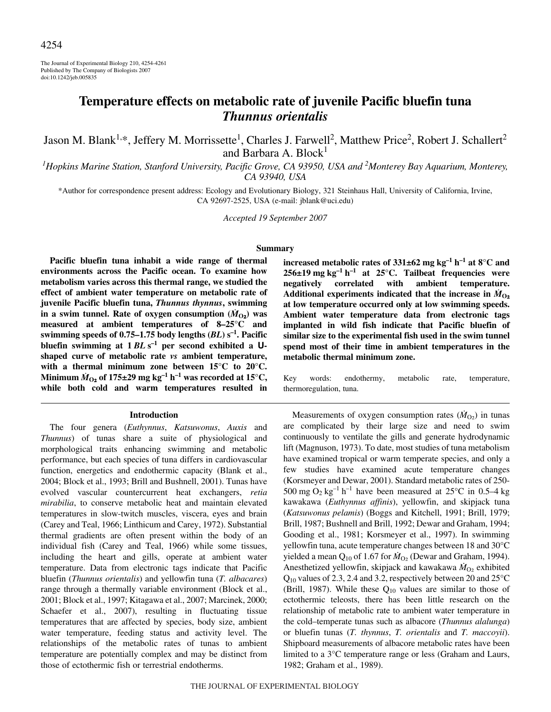The Journal of Experimental Biology 210, 4254-4261 Published by The Company of Biologists 2007 doi:10.1242/jeb.005835

# **Temperature effects on metabolic rate of juvenile Pacific bluefin tuna** *Thunnus orientalis*

Jason M. Blank<sup>1,\*</sup>, Jeffery M. Morrissette<sup>1</sup>, Charles J. Farwell<sup>2</sup>, Matthew Price<sup>2</sup>, Robert J. Schallert<sup>2</sup> and Barbara A. Block<sup>1</sup>

*1 Hopkins Marine Station, Stanford University, Pacific Grove, CA 93950, USA and 2 Monterey Bay Aquarium, Monterey, CA 93940, USA*

\*Author for correspondence present address: Ecology and Evolutionary Biology, 321 Steinhaus Hall, University of California, Irvine, CA 92697-2525, USA (e-mail: jblank@uci.edu)

*Accepted 19 September 2007*

### **Summary**

**Pacific bluefin tuna inhabit a wide range of thermal environments across the Pacific ocean. To examine how metabolism varies across this thermal range, we studied the effect of ambient water temperature on metabolic rate of juvenile Pacific bluefin tuna,** *Thunnus thynnus***, swimming** in a swim tunnel. Rate of oxygen consumption  $(M<sub>O2</sub>)$  was **measured at ambient temperatures of 8–25°C and** swimming speeds of  $0.75-1.75$  body lengths  $(BL)$  s<sup>-1</sup>. Pacific bluefin swimming at  $1 BLs^{-1}$  per second exhibited a U**shaped curve of metabolic rate** *vs* **ambient temperature, with a thermal minimum zone between 15°C to 20°C. Minimum**  $\dot{M}_{O_2}$  of 175±29 mg kg<sup>-1</sup> h<sup>-1</sup> was recorded at 15°C, **while both cold and warm temperatures resulted in**

#### **Introduction**

The four genera (*Euthynnus*, *Katsuwonus*, *Auxis* and *Thunnus*) of tunas share a suite of physiological and morphological traits enhancing swimming and metabolic performance, but each species of tuna differs in cardiovascular function, energetics and endothermic capacity (Blank et al., 2004; Block et al., 1993; Brill and Bushnell, 2001). Tunas have evolved vascular countercurrent heat exchangers, *retia mirabilia*, to conserve metabolic heat and maintain elevated temperatures in slow-twitch muscles, viscera, eyes and brain (Carey and Teal, 1966; Linthicum and Carey, 1972). Substantial thermal gradients are often present within the body of an individual fish (Carey and Teal, 1966) while some tissues, including the heart and gills, operate at ambient water temperature. Data from electronic tags indicate that Pacific bluefin (*Thunnus orientalis*) and yellowfin tuna (*T. albacares*) range through a thermally variable environment (Block et al., 2001; Block et al., 1997; Kitagawa et al., 2007; Marcinek, 2000; Schaefer et al., 2007), resulting in fluctuating tissue temperatures that are affected by species, body size, ambient water temperature, feeding status and activity level. The relationships of the metabolic rates of tunas to ambient temperature are potentially complex and may be distinct from those of ectothermic fish or terrestrial endotherms.

**increased metabolic rates of 331±62 mg**  $kg^{-1} h^{-1}$  at 8°C and  $256\pm19$  mg kg<sup>-1</sup> h<sup>-1</sup> at 25°C. Tailbeat frequencies were **negatively correlated with ambient temperature.** Additional experiments indicated that the increase in  $\dot{M}_{O2}$ **at low temperature occurred only at low swimming speeds. Ambient water temperature data from electronic tags implanted in wild fish indicate that Pacific bluefin of similar size to the experimental fish used in the swim tunnel spend most of their time in ambient temperatures in the metabolic thermal minimum zone.**

Key words: endothermy, metabolic rate, temperature, thermoregulation, tuna.

Measurements of oxygen consumption rates  $(M<sub>O2</sub>)$  in tunas are complicated by their large size and need to swim continuously to ventilate the gills and generate hydrodynamic lift (Magnuson, 1973). To date, most studies of tuna metabolism have examined tropical or warm temperate species, and only a few studies have examined acute temperature changes (Korsmeyer and Dewar, 2001). Standard metabolic rates of 250 - 500 mg O<sub>2</sub> kg<sup>-1</sup> h<sup>-1</sup> have been measured at 25<sup>o</sup>C in 0.5–4 kg kawakawa (*Euthynnus affinis*), yellowfin, and skipjack tuna (*Katsuwonus pelamis*) (Boggs and Kitchell, 1991; Brill, 1979; Brill, 1987; Bushnell and Brill, 1992; Dewar and Graham, 1994; Gooding et al., 1981; Korsmeyer et al., 1997). In swimming yellowfin tuna, acute temperature changes between 18 and 30°C yielded a mean  $Q_{10}$  of 1.67 for  $\dot{M}_{O_2}$  (Dewar and Graham, 1994). Anesthetized yellowfin, skipjack and kawakawa  $\dot{M}_{O_2}$  exhibited Q10 values of 2.3, 2.4 and 3.2, respectively between 20 and 25°C (Brill, 1987). While these  $Q_{10}$  values are similar to those of ectothermic teleosts, there has been little research on the relationship of metabolic rate to ambient water temperature in the cold–temperate tunas such as albacore (*Thunnus alalunga*) or bluefin tunas (*T. thynnus*, *T. orientalis* and *T. maccoyii*). Shipboard measurements of albacore metabolic rates have been limited to a 3°C temperature range or less (Graham and Laurs, 1982; Graham et al., 1989).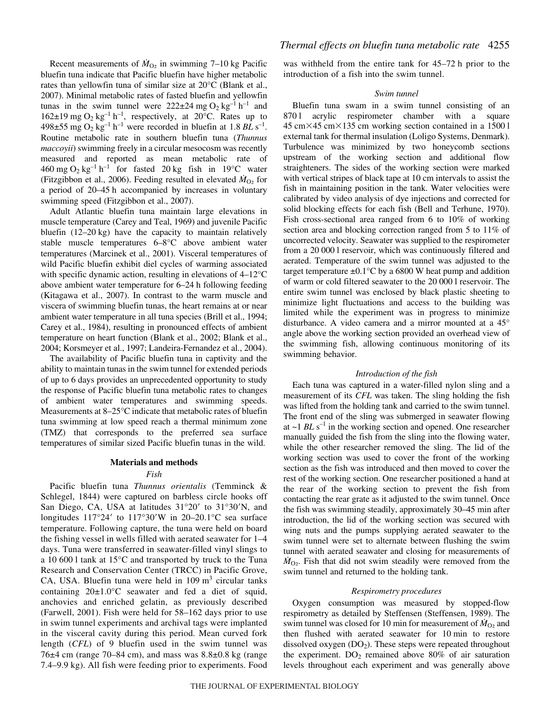Recent measurements of  $\dot{M}_{O_2}$  in swimming 7–10 kg Pacific bluefin tuna indicate that Pacific bluefin have higher metabolic rates than yellowfin tuna of similar size at 20°C (Blank et al., 2007). Minimal metabolic rates of fasted bluefin and yellowfin tunas in the swim tunnel were  $222\pm 24$  mg O<sub>2</sub> kg<sup>-1</sup> h<sup>-1</sup> and  $162\pm19$  mg O<sub>2</sub> kg<sup>-1</sup> h<sup>-1</sup>, respectively, at 20<sup>o</sup>C. Rates up to 498 $\pm$ 55 mg O<sub>2</sub> kg<sup>-1</sup> h<sup>-1</sup> were recorded in bluefin at 1.8 *BL* s<sup>-1</sup>. Routine metabolic rate in southern bluefin tuna (*Thunnus maccoyii*) swimming freely in a circular mesocosm was recently measured and reported as mean metabolic rate of 460 mg O<sub>2</sub> kg<sup>-1</sup> h<sup>-1</sup> for fasted 20 kg fish in 19°C water (Fitzgibbon et al., 2006). Feeding resulted in elevated  $\dot{M}_{O_2}$  for a period of 20–45 h accompanied by increases in voluntary swimming speed (Fitzgibbon et al., 2007).

Adult Atlantic bluefin tuna maintain large elevations in muscle temperature (Carey and Teal, 1969) and juvenile Pacific bluefin  $(12-20 \text{ kg})$  have the capacity to maintain relatively stable muscle temperatures 6–8°C above ambient water temperatures (Marcinek et al., 2001). Visceral temperatures of wild Pacific bluefin exhibit diel cycles of warming associated with specific dynamic action, resulting in elevations of 4–12°C above ambient water temperature for 6–24 h following feeding (Kitagawa et al., 2007). In contrast to the warm muscle and viscera of swimming bluefin tunas, the heart remains at or near ambient water temperature in all tuna species (Brill et al., 1994; Carey et al., 1984), resulting in pronounced effects of ambient temperature on heart function (Blank et al., 2002; Blank et al., 2004; Korsmeyer et al., 1997; Landeira-Fernandez et al., 2004).

The availability of Pacific bluefin tuna in captivity and the ability to maintain tunas in the swim tunnel for extended periods of up to 6 days provides an unprecedented opportunity to study the response of Pacific bluefin tuna metabolic rates to changes of ambient water temperatures and swimming speeds. Measurements at 8–25°C indicate that metabolic rates of bluefin tuna swimming at low speed reach a thermal minimum zone (TMZ) that corresponds to the preferred sea surface temperatures of similar sized Pacific bluefin tunas in the wild.

#### **Materials and methods**

# *Fish*

Pacific bluefin tuna *Thunnus orientalis* (Temminck & Schlegel, 1844) were captured on barbless circle hooks off San Diego, CA, USA at latitudes  $31^{\circ}20'$  to  $31^{\circ}30'N$ , and longitudes  $117^{\circ}24'$  to  $117^{\circ}30'W$  in  $20-20.1^{\circ}C$  sea surface temperature. Following capture, the tuna were held on board the fishing vessel in wells filled with aerated seawater for 1–4 days. Tuna were transferred in seawater-filled vinyl slings to a 10  $600$  l tank at 15 $\degree$ C and transported by truck to the Tuna Research and Conservation Center (TRCC) in Pacific Grove, CA, USA. Bluefin tuna were held in  $109 \text{ m}^3$  circular tanks containing  $20\pm1.0^{\circ}$ C seawater and fed a diet of squid, anchovies and enriched gelatin, as previously described (Farwell, 2001). Fish were held for 58–162 days prior to use in swim tunnel experiments and archival tags were implanted in the visceral cavity during this period. Mean curved fork length (*CFL*) of 9 bluefin used in the swim tunnel was  $76±4$  cm (range  $70-84$  cm), and mass was  $8.8±0.8$  kg (range 7.4–9.9 kg). All fish were feeding prior to experiments. Food

was withheld from the entire tank for  $45-72$  h prior to the introduction of a fish into the swim tunnel.

# *Swim tunnel*

Bluefin tuna swam in a swim tunnel consisting of an 870.1 acrylic respirometer chamber with a square  $45 \text{ cm} \times 45 \text{ cm} \times 135 \text{ cm}$  working section contained in a 1500 l external tank for thermal insulation (Loligo Systems, Denmark). Turbulence was minimized by two honeycomb sections upstream of the working section and additional flow straighteners. The sides of the working section were marked with vertical stripes of black tape at 10 cm intervals to assist the fish in maintaining position in the tank. Water velocities were calibrated by video analysis of dye injections and corrected for solid blocking effects for each fish (Bell and Terhune, 1970). Fish cross-sectional area ranged from 6 to 10% of working section area and blocking correction ranged from 5 to 11% of uncorrected velocity. Seawater was supplied to the respirometer from a 20 000 l reservoir, which was continuously filtered and aerated. Temperature of the swim tunnel was adjusted to the target temperature  $\pm 0.1^{\circ}$ C by a 6800 W heat pump and addition of warm or cold filtered seawater to the 20 000 l reservoir. The entire swim tunnel was enclosed by black plastic sheeting to minimize light fluctuations and access to the building was limited while the experiment was in progress to minimize disturbance. A video camera and a mirror mounted at a 45° angle above the working section provided an overhead view of the swimming fish, allowing continuous monitoring of its swimming behavior.

#### *Introduction of the fish*

Each tuna was captured in a water-filled nylon sling and a measurement of its *CFL* was taken. The sling holding the fish was lifted from the holding tank and carried to the swim tunnel. The front end of the sling was submerged in seawater flowing at  $\sim$ 1 *BL* s<sup>-1</sup> in the working section and opened. One researcher manually guided the fish from the sling into the flowing water, while the other researcher removed the sling. The lid of the working section was used to cover the front of the working section as the fish was introduced and then moved to cover the rest of the working section. One researcher positioned a hand at the rear of the working section to prevent the fish from contacting the rear grate as it adjusted to the swim tunnel. Once the fish was swimming steadily, approximately 30–45 min after introduction, the lid of the working section was secured with wing nuts and the pumps supplying aerated seawater to the swim tunnel were set to alternate between flushing the swim tunnel with aerated seawater and closing for measurements of  $\dot{M}_{\text{O}_2}$ . Fish that did not swim steadily were removed from the swim tunnel and returned to the holding tank.

#### *Respirometry procedures*

Oxygen consumption was measured by stopped-flow respirometry as detailed by Steffensen (Steffensen, 1989). The swim tunnel was closed for 10 min for measurement of  $\dot{M}_{O_2}$  and then flushed with aerated seawater for 10 min to restore dissolved oxygen (DO<sub>2</sub>). These steps were repeated throughout the experiment.  $DO<sub>2</sub>$  remained above 80% of air saturation levels throughout each experiment and was generally above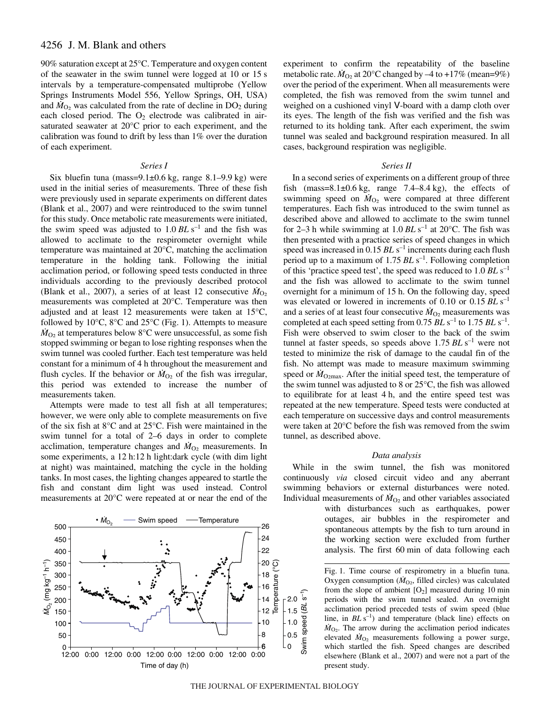# 4256 J. M. Blank and others

90% saturation except at 25°C. Temperature and oxygen content of the seawater in the swim tunnel were logged at 10 or 15 s intervals by a temperature-compensated multiprobe (Yellow Springs Instruments Model 556, Yellow Springs, OH, USA) and  $\dot{M}_{O_2}$  was calculated from the rate of decline in  $DO_2$  during each closed period. The  $O_2$  electrode was calibrated in airsaturated seawater at 20°C prior to each experiment, and the calibration was found to drift by less than 1% over the duration of each experiment.

### *Series I*

Six bluefin tuna (mass= $9.1\pm0.6$  kg, range 8.1–9.9 kg) were used in the initial series of measurements. Three of these fish were previously used in separate experiments on different dates (Blank et al., 2007) and were reintroduced to the swim tunnel for this study. Once metabolic rate measurements were initiated, the swim speed was adjusted to  $1.0$  *BL* s<sup>-1</sup> and the fish was allowed to acclimate to the respirometer overnight while temperature was maintained at 20°C, matching the acclimation temperature in the holding tank. Following the initial acclimation period, or following speed tests conducted in three individuals according to the previously described protocol (Blank et al., 2007), a series of at least 12 consecutive  $\dot{M}_{O_2}$ measurements was completed at 20°C. Temperature was then adjusted and at least 12 measurements were taken at 15°C, followed by 10 $\degree$ C,  $\degree$ °C and 25 $\degree$ C (Fig. 1). Attempts to measure  $\dot{M}_{\text{O}_2}$  at temperatures below 8°C were unsuccessful, as some fish stopped swimming or began to lose righting responses when the swim tunnel was cooled further. Each test temperature was held constant for a minimum of 4 h throughout the measurement and flush cycles. If the behavior or  $M_{\text{O}_2}$  of the fish was irregular, this period was extended to increase the number of measurements taken.

Attempts were made to test all fish at all temperatures; however, we were only able to complete measurements on five of the six fish at 8°C and at 25°C. Fish were maintained in the swim tunnel for a total of 2–6 days in order to complete acclimation, temperature changes and  $\dot{M}_{O_2}$  measurements. In some experiments, a 12 h:12 h light:dark cycle (with dim light at night) was maintained, matching the cycle in the holding tanks. In most cases, the lighting changes appeared to startle the fish and constant dim light was used instead. Control measurements at 20°C were repeated at or near the end of the



experiment to confirm the repeatability of the baseline metabolic rate.  $\dot{M}_{O_2}$  at 20°C changed by -4 to +17% (mean=9%) over the period of the experiment. When all measurements were completed, the fish was removed from the swim tunnel and weighed on a cushioned vinyl V-board with a damp cloth over its eyes. The length of the fish was verified and the fish was returned to its holding tank. After each experiment, the swim tunnel was sealed and background respiration measured. In all cases, background respiration was negligible.

# *Series II*

In a second series of experiments on a different group of three fish (mass=8.1 $\pm$ 0.6 kg, range 7.4–8.4 kg), the effects of swimming speed on  $\dot{M}_{\text{O}_2}$  were compared at three different temperatures. Each fish was introduced to the swim tunnel as described above and allowed to acclimate to the swim tunnel for 2–3 h while swimming at 1.0  $BL$  s<sup>-1</sup> at 20°C. The fish was then presented with a practice series of speed changes in which speed was increased in  $0.15$  *BL* s<sup>-1</sup> increments during each flush period up to a maximum of 1.75 *BL* s<sup>-1</sup>. Following completion of this 'practice speed test', the speed was reduced to 1.0 *BL* s<sup>-1</sup> and the fish was allowed to acclimate to the swim tunnel overnight for a minimum of 15 h. On the following day, speed was elevated or lowered in increments of 0.10 or 0.15 *BL* s<sup>-1</sup> and a series of at least four consecutive  $\dot{M}_{\text{O}_2}$  measurements was completed at each speed setting from 0.75 *BL* s<sup>-1</sup> to 1.75 *BL* s<sup>-1</sup>. Fish were observed to swim closer to the back of the swim tunnel at faster speeds, so speeds above 1.75 *BL* s<sup>-1</sup> were not tested to minimize the risk of damage to the caudal fin of the fish. No attempt was made to measure maximum swimming speed or  $M_{\text{O2max}}$ . After the initial speed test, the temperature of the swim tunnel was adjusted to 8 or 25°C, the fish was allowed to equilibrate for at least 4 h, and the entire speed test was repeated at the new temperature. Speed tests were conducted at each temperature on successive days and control measurements were taken at 20°C before the fish was removed from the swim tunnel, as described above.

# *Data analysis*

While in the swim tunnel, the fish was monitored continuously *via* closed circuit video and any aberrant swimming behaviors or external disturbances were noted. Individual measurements of  $\dot{M}_{O_2}$  and other variables associated

with disturbances such as earthquakes, power outages, air bubbles in the respirometer and spontaneous attempts by the fish to turn around in the working section were excluded from further analysis. The first 60 min of data following each

Fig. 1. Time course of respirometry in a bluefin tuna. Oxygen consumption  $(M<sub>O2</sub>)$ , filled circles) was calculated from the slope of ambient  $[O_2]$  measured during 10 min periods with the swim tunnel sealed. An overnight acclimation period preceded tests of swim speed (blue line, in *BL* s<sup>-1</sup>) and temperature (black line) effects on  $\dot{M}_{\text{O}_2}$ . The arrow during the acclimation period indicates elevated  $\dot{M}_{O2}$  measurements following a power surge, which startled the fish. Speed changes are described elsewhere (Blank et al., 2007) and were not a part of the present study.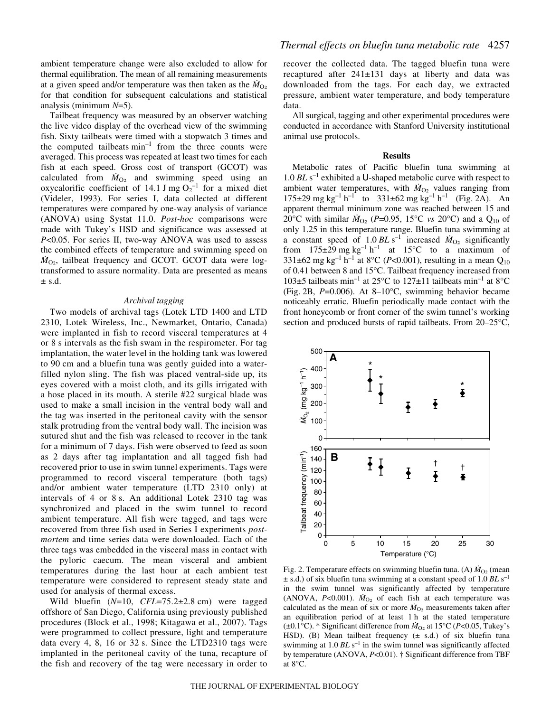ambient temperature change were also excluded to allow for thermal equilibration. The mean of all remaining measurements at a given speed and/or temperature was then taken as the  $\dot{M}_{O_2}$ for that condition for subsequent calculations and statistical analysis (minimum *N*=5).

Tailbeat frequency was measured by an observer watching the live video display of the overhead view of the swimming fish. Sixty tailbeats were timed with a stopwatch 3 times and the computed tailbeats  $min^{-1}$  from the three counts were averaged. This process was repeated at least two times for each fish at each speed. Gross cost of transport (GCOT) was calculated from  $\dot{M}_{O_2}$  and swimming speed using an oxycalorific coefficient of 14.1 J mg  $O_2^{-1}$  for a mixed diet (Videler, 1993). For series I, data collected at different temperatures were compared by one-way analysis of variance (ANOVA) using Systat 11.0. *Post-hoc* comparisons were made with Tukey's HSD and significance was assessed at *P*<0.05. For series II, two-way ANOVA was used to assess the combined effects of temperature and swimming speed on  $M_{\text{O}_2}$ , tailbeat frequency and GCOT. GCOT data were logtransformed to assure normality. Data are presented as means  $\pm$  s.d.

#### *Archival tagging*

Two models of archival tags (Lotek LTD 1400 and LTD 2310, Lotek Wireless, Inc., Newmarket, Ontario, Canada) were implanted in fish to record visceral temperatures at 4 or 8 s intervals as the fish swam in the respirometer. For tag implantation, the water level in the holding tank was lowered to 90 cm and a bluefin tuna was gently guided into a waterfilled nylon sling. The fish was placed ventral-side up, its eyes covered with a moist cloth, and its gills irrigated with a hose placed in its mouth. A sterile #22 surgical blade was used to make a small incision in the ventral body wall and the tag was inserted in the peritoneal cavity with the sensor stalk protruding from the ventral body wall. The incision was sutured shut and the fish was released to recover in the tank for a minimum of 7 days. Fish were observed to feed as soon as 2 days after tag implantation and all tagged fish had recovered prior to use in swim tunnel experiments. Tags were programmed to record visceral temperature (both tags) and/or ambient water temperature (LTD 2310 only) at intervals of 4 or 8 s. An additional Lotek 2310 tag was synchronized and placed in the swim tunnel to record ambient temperature. All fish were tagged, and tags were recovered from three fish used in Series I experiments *postmortem* and time series data were downloaded. Each of the three tags was embedded in the visceral mass in contact with the pyloric caecum. The mean visceral and ambient temperatures during the last hour at each ambient test temperature were considered to represent steady state and used for analysis of thermal excess.

Wild bluefin (*N*=10, *CFL*=75.2±2.8 cm) were tagged offshore of San Diego, California using previously published procedures (Block et al., 1998; Kitagawa et al., 2007). Tags were programmed to collect pressure, light and temperature data every 4, 8, 16 or 32 s. Since the LTD2310 tags were implanted in the peritoneal cavity of the tuna, recapture of the fish and recovery of the tag were necessary in order to recover the collected data. The tagged bluefin tuna were recaptured after 241±131 days at liberty and data was downloaded from the tags. For each day, we extracted pressure, ambient water temperature, and body temperature data.

All surgical, tagging and other experimental procedures were conducted in accordance with Stanford University institutional animal use protocols.

#### **Results**

Metabolic rates of Pacific bluefin tuna swimming at 1.0 *BL* s<sup>-1</sup> exhibited a U-shaped metabolic curve with respect to ambient water temperatures, with  $\dot{M}_{\text{O}_2}$  values ranging from  $175\pm29$  mg kg<sup>-1</sup> h<sup>-1</sup> to  $331\pm62$  mg kg<sup>-1</sup> h<sup>-1</sup> (Fig. 2A). An apparent thermal minimum zone was reached between 15 and 20 $\degree$ C with similar  $\dot{M}_{O_2}$  (*P*=0.95, 15 $\degree$ C *vs* 20 $\degree$ C) and a Q<sub>10</sub> of only 1.25 in this temperature range. Bluefin tuna swimming at a constant speed of  $1.0$  *BL* s<sup>-1</sup> increased  $\dot{M}_{\text{O}_2}$  significantly from  $175\pm29$  mg kg<sup>-1</sup> h<sup>-1</sup> at  $15^{\circ}$ C to a maximum of 331±62 mg kg<sup>-1</sup> h<sup>-1</sup> at 8°C (*P*<0.001), resulting in a mean Q<sub>10</sub> of 0.41 between 8 and 15°C. Tailbeat frequency increased from 103 $\pm$ 5 tailbeats min<sup>-1</sup> at 25°C to 127 $\pm$ 11 tailbeats min<sup>-1</sup> at 8°C (Fig. 2B,  $P=0.006$ ). At  $8-10^{\circ}$ C, swimming behavior became noticeably erratic. Bluefin periodically made contact with the front honeycomb or front corner of the swim tunnel's working section and produced bursts of rapid tailbeats. From 20–25 °C,



Fig. 2. Temperature effects on swimming bluefin tuna. (A)  $\dot{M}_{\text{O}_2}$  (mean  $\pm$  s.d.) of six bluefin tuna swimming at a constant speed of 1.0 *BL* s<sup>-1</sup> in the swim tunnel was significantly affected by temperature (ANOVA,  $P<0.001$ ).  $\dot{M}_{O_2}$  of each fish at each temperature was calculated as the mean of six or more  $\dot{M}_{O_2}$  measurements taken after an equilibration period of at least 1 h at the stated temperature ( $\pm$ 0.1°C). \* Significant difference from  $\dot{M}_{O_2}$  at 15°C (*P*<0.05, Tukey's HSD). (B) Mean tailbeat frequency  $(\pm s.d.)$  of six bluefin tuna swimming at 1.0  $BL\ s^{-1}$  in the swim tunnel was significantly affected by temperature (ANOVA, *P*<0.01). † Significant difference from TBF at 8°C.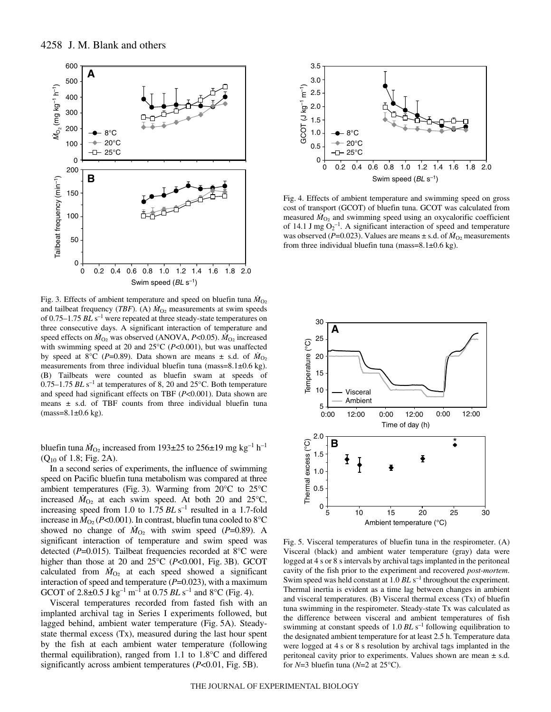

Fig. 3. Effects of ambient temperature and speed on bluefin tuna  $\dot{M}_{\text{O}_2}$ and tailbeat frequency (*TBF*). (A)  $\dot{M}_{O_2}$  measurements at swim speeds of 0.75–1.75 *BL* s<sup>-1</sup> were repeated at three steady-state temperatures on three consecutive days. A significant interaction of temperature and speed effects on  $\dot{M}_{\text{O}_2}$  was observed (ANOVA, *P*<0.05).  $\dot{M}_{\text{O}_2}$  increased with swimming speed at 20 and 25°C (*P*<0.001), but was unaffected by speed at 8°C ( $P=0.89$ ). Data shown are means  $\pm$  s.d. of  $\dot{M}_{\odot}$ , measurements from three individual bluefin tuna (mass= $8.1\pm0.6$  kg). (B) Tailbeats were counted as bluefin swam at speeds of 0.75–1.75 *BL* s<sup>-1</sup> at temperatures of 8, 20 and 25°C. Both temperature and speed had significant effects on TBF (*P*<0.001). Data shown are means  $\pm$  s.d. of TBF counts from three individual bluefin tuna  $(mass=8.1\pm0.6~\text{kg})$ .

bluefin tuna  $\dot{M}_{\text{O}_2}$  increased from 193 $\pm$ 25 to 256 $\pm$ 19 mg kg<sup>-1</sup> h<sup>-1</sup>  $(Q_{10}$  of 1.8; Fig. 2A).

In a second series of experiments, the influence of swimming speed on Pacific bluefin tuna metabolism was compared at three ambient temperatures (Fig. 3). Warming from  $20^{\circ}$ C to  $25^{\circ}$ C increased  $\dot{M}_{O_2}$  at each swim speed. At both 20 and 25°C, increasing speed from 1.0 to  $1.75$   $BL$  s<sup>-1</sup> resulted in a 1.7-fold increase in  $\dot{M}_{\text{O}_2}(P<0.001)$ . In contrast, bluefin tuna cooled to 8°C showed no change of  $\dot{M}_{O_2}$  with swim speed ( $P=0.89$ ). A significant interaction of temperature and swim speed was detected (*P*=0.015). Tailbeat frequencies recorded at 8°C were higher than those at 20 and  $25^{\circ}$ C ( $P<0.001$ , Fig. 3B). GCOT calculated from  $\dot{M}_{\text{O}_2}$  at each speed showed a significant interaction of speed and temperature (*P*=0.023), with a maximum GCOT of 2.8±0.5 J  $kg^{-1}$  m<sup>-1</sup> at 0.75 *BL* s<sup>-1</sup> and 8°C (Fig. 4).

Visceral temperatures recorded from fasted fish with an implanted archival tag in Series I experiments followed, but lagged behind, ambient water temperature (Fig. 5A). Steadystate thermal excess (Tx), measured during the last hour spent by the fish at each ambient water temperature (following thermal equilibration), ranged from 1.1 to 1.8°C and differed significantly across ambient temperatures  $(P<0.01$ , Fig. 5B).



Fig. 4. Effects of ambient temperature and swimming speed on gross cost of transport (GCOT) of bluefin tuna. GCOT was calculated from measured  $\dot{M}_{O_2}$  and swimming speed using an oxycalorific coefficient of 14.1 J mg  $O_2^{-1}$ . A significant interaction of speed and temperature was observed ( $P=0.023$ ). Values are means  $\pm$  s.d. of  $\dot{M}_{O_2}$  measurements from three individual bluefin tuna (mass= $8.1\pm0.6$  kg).



Fig. 5. Visceral temperatures of bluefin tuna in the respirometer.  $(A)$ Visceral (black) and ambient water temperature (gray) data were logged at 4 s or 8 s intervals by archival tags implanted in the peritoneal cavity of the fish prior to the experiment and recovered *post-mortem*. Swim speed was held constant at 1.0 *BL* s<sup>-1</sup> throughout the experiment. Thermal inertia is evident as a time lag between changes in ambient and visceral temperatures. (B) Visceral thermal excess (Tx) of bluefin tuna swimming in the respirometer. Steady-state Tx was calculated as the difference between visceral and ambient temperatures of fish swimming at constant speeds of 1.0 *BL* s<sup>-1</sup> following equilibration to the designated ambient temperature for at least 2.5 h. Temperature data were logged at 4 s or 8 s resolution by archival tags implanted in the peritoneal cavity prior to experiments. Values shown are mean ± s.d. for  $N=3$  bluefin tuna ( $N=2$  at  $25^{\circ}$ C).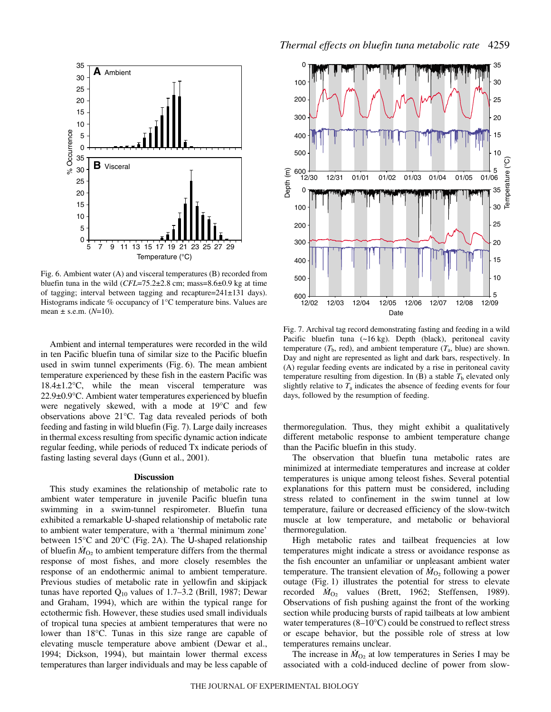

Fig. 6. Ambient water  $(A)$  and visceral temperatures  $(B)$  recorded from bluefin tuna in the wild  $(CFL=75.2\pm2.8$  cm; mass=8.6 $\pm$ 0.9 kg at time of tagging; interval between tagging and recapture=241±131 days). Histograms indicate % occupancy of 1°C temperature bins. Values are mean ± s.e.m. (*N*=10).

Ambient and internal temperatures were recorded in the wild in ten Pacific bluefin tuna of similar size to the Pacific bluefin used in swim tunnel experiments (Fig. 6). The mean ambient temperature experienced by these fish in the eastern Pacific was 18.4±1.2°C, while the mean visceral temperature was 22.9±0.9°C. Ambient water temperatures experienced by bluefin were negatively skewed, with a mode at 19°C and few observations above 21°C. Tag data revealed periods of both feeding and fasting in wild bluefin (Fig. 7). Large daily increases in thermal excess resulting from specific dynamic action indicate regular feeding, while periods of reduced Tx indicate periods of fasting lasting several days (Gunn et al., 2001).

# **Discussion**

This study examines the relationship of metabolic rate to ambient water temperature in juvenile Pacific bluefin tuna swimming in a swim-tunnel respirometer. Bluefin tuna exhibited a remarkable U-shaped relationship of metabolic rate to ambient water temperature, with a 'thermal minimum zone' between  $15^{\circ}$ C and  $20^{\circ}$ C (Fig. 2A). The U-shaped relationship of bluefin  $\dot{M}_{O_2}$  to ambient temperature differs from the thermal response of most fishes, and more closely resembles the response of an endothermic animal to ambient temperature. Previous studies of metabolic rate in yellowfin and skipjack tunas have reported  $Q_{10}$  values of 1.7–3.2 (Brill, 1987; Dewar and Graham, 1994), which are within the typical range for ectothermic fish. However, these studies used small individuals of tropical tuna species at ambient temperatures that were no lower than 18°C. Tunas in this size range are capable of elevating muscle temperature above ambient (Dewar et al., 1994; Dickson, 1994), but maintain lower thermal excess temperatures than larger individuals and may be less capable of



Fig. 7. Archival tag record demonstrating fasting and feeding in a wild Pacific bluefin tuna  $(-16 \text{ kg})$ . Depth (black), peritoneal cavity temperature  $(T_b, \text{ red})$ , and ambient temperature  $(T_a, \text{ blue})$  are shown. Day and night are represented as light and dark bars, respectively. In (A) regular feeding events are indicated by a rise in peritoneal cavity temperature resulting from digestion. In  $(B)$  a stable  $T<sub>b</sub>$  elevated only slightly relative to  $T_a$  indicates the absence of feeding events for four days, followed by the resumption of feeding.

thermoregulation. Thus, they might exhibit a qualitatively different metabolic response to ambient temperature change than the Pacific bluefin in this study.

The observation that bluefin tuna metabolic rates are minimized at intermediate temperatures and increase at colder temperatures is unique among teleost fishes. Several potential explanations for this pattern must be considered, including stress related to confinement in the swim tunnel at low temperature, failure or decreased efficiency of the slow-twitch muscle at low temperature, and metabolic or behavioral thermoregulation.

High metabolic rates and tailbeat frequencies at low temperatures might indicate a stress or avoidance response as the fish encounter an unfamiliar or unpleasant ambient water temperature. The transient elevation of  $M_{O_2}$  following a power outage (Fig. 1) illustrates the potential for stress to elevate recorded  $\dot{M}_{\text{O}_2}$  values (Brett, 1962; Steffensen, 1989). Observations of fish pushing against the front of the working section while producing bursts of rapid tailbeats at low ambient water temperatures (8–10°C) could be construed to reflect stress or escape behavior, but the possible role of stress at low temperatures remains unclear.

The increase in  $M_{\text{O}_2}$  at low temperatures in Series I may be associated with a cold-induced decline of power from slow-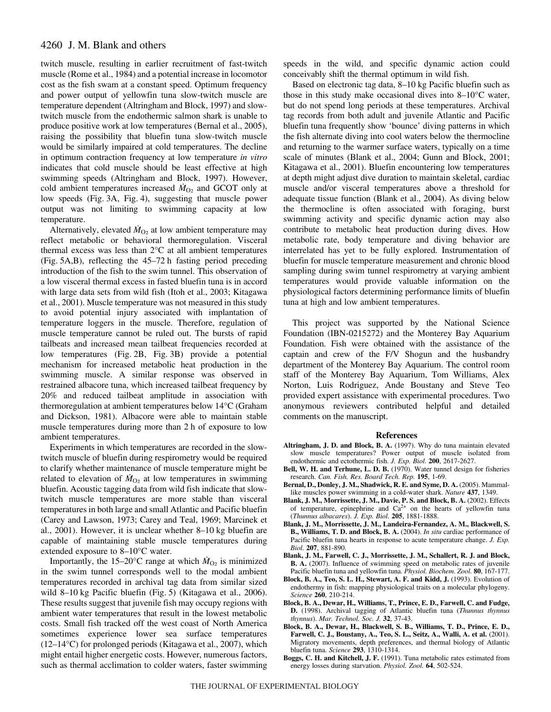# 4260 J. M. Blank and others

twitch muscle, resulting in earlier recruitment of fast-twitch muscle (Rome et al., 1984) and a potential increase in locomotor cost as the fish swam at a constant speed. Optimum frequency and power output of yellowfin tuna slow-twitch muscle are temperature dependent (Altringham and Block, 1997) and slowtwitch muscle from the endothermic salmon shark is unable to produce positive work at low temperatures (Bernal et al., 2005), raising the possibility that bluefin tuna slow-twitch muscle would be similarly impaired at cold temperatures. The decline in optimum contraction frequency at low temperature *in vitro* indicates that cold muscle should be least effective at high swimming speeds (Altringham and Block, 1997). However, cold ambient temperatures increased  $\dot{M}_{O_2}$  and GCOT only at low speeds (Fig. 3A, Fig. 4), suggesting that muscle power output was not limiting to swimming capacity at low temperature.

Alternatively, elevated  $\dot{M}_{\text{O}_2}$  at low ambient temperature may reflect metabolic or behavioral thermoregulation. Visceral thermal excess was less than 2°C at all ambient temperatures (Fig.  $5A,B$ ), reflecting the  $45-72h$  fasting period preceding introduction of the fish to the swim tunnel. This observation of a low visceral thermal excess in fasted bluefin tuna is in accord with large data sets from wild fish (Itoh et al., 2003; Kitagawa et al., 2001). Muscle temperature was not measured in this study to avoid potential injury associated with implantation of temperature loggers in the muscle. Therefore, regulation of muscle temperature cannot be ruled out. The bursts of rapid tailbeats and increased mean tailbeat frequencies recorded at low temperatures (Fig. 2B, Fig. 3B) provide a potential mechanism for increased metabolic heat production in the swimming muscle. A similar response was observed in restrained albacore tuna, which increased tailbeat frequency by 20% and reduced tailbeat amplitude in association with thermoregulation at ambient temperatures below 14°C (Graham and Dickson, 1981). Albacore were able to maintain stable muscle temperatures during more than 2 h of exposure to low ambient temperatures.

Experiments in which temperatures are recorded in the slowtwitch muscle of bluefin during respirometry would be required to clarify whether maintenance of muscle temperature might be related to elevation of  $\dot{M}_{O_2}$  at low temperatures in swimming bluefin. Acoustic tagging data from wild fish indicate that slowtwitch muscle temperatures are more stable than visceral temperatures in both large and small Atlantic and Pacific bluefin (Carey and Lawson, 1973; Carey and Teal, 1969; Marcinek et al., 2001). However, it is unclear whether 8–10 kg bluefin are capable of maintaining stable muscle temperatures during extended exposure to 8–10°C water.

Importantly, the 15–20°C range at which  $\dot{M}_{\text{O}_2}$  is minimized in the swim tunnel corresponds well to the modal ambient temperatures recorded in archival tag data from similar sized wild 8–10 kg Pacific bluefin (Fig. 5) (Kitagawa et al., 2006). These results suggest that juvenile fish may occupy regions with ambient water temperatures that result in the lowest metabolic costs. Small fish tracked off the west coast of North America sometimes experience lower sea surface temperatures (12–14°C) for prolonged periods (Kitagawa et al., 2007), which might entail higher energetic costs. However, numerous factors, such as thermal acclimation to colder waters, faster swimming speeds in the wild, and specific dynamic action could conceivably shift the thermal optimum in wild fish.

Based on electronic tag data, 8–10 kg Pacific bluefin such as those in this study make occasional dives into 8–10°C water, but do not spend long periods at these temperatures. Archival tag records from both adult and juvenile Atlantic and Pacific bluefin tuna frequently show 'bounce' diving patterns in which the fish alternate diving into cool waters below the thermocline and returning to the warmer surface waters, typically on a time scale of minutes (Blank et al., 2004; Gunn and Block, 2001; Kitagawa et al., 2001). Bluefin encountering low temperatures at depth might adjust dive duration to maintain skeletal, cardiac muscle and/or visceral temperatures above a threshold for adequate tissue function (Blank et al., 2004). As diving below the thermocline is often associated with foraging, burst swimming activity and specific dynamic action may also contribute to metabolic heat production during dives. How metabolic rate, body temperature and diving behavior are interrelated has yet to be fully explored. Instrumentation of bluefin for muscle temperature measurement and chronic blood sampling during swim tunnel respirometry at varying ambient temperatures would provide valuable information on the physiological factors determining performance limits of bluefin tuna at high and low ambient temperatures.

This project was supported by the National Science Foundation (IBN-0215272) and the Monterey Bay Aquarium Foundation. Fish were obtained with the assistance of the captain and crew of the F/V Shogun and the husbandry department of the Monterey Bay Aquarium. The control room staff of the Monterey Bay Aquarium, Tom Williams, Alex Norton, Luis Rodriguez, Ande Boustany and Steve Teo provided expert assistance with experimental procedures. Two anonymous reviewers contributed helpful and detailed comments on the manuscript.

#### **References**

- **Altringham, J. D. and Block, B. A.** (1997). Why do tuna maintain elevated slow muscle temperatures? Power output of muscle isolated from endothermic and ectothermic fish. *J. Exp. Biol.* **200**, 2617-2627.
- **Bell, W. H. and Terhune, L. D. B.** (1970). Water tunnel design for fisheries research. *Can. Fish. Res. Board Tech. Rep.* **195**, 1-69.
- **Bernal, D., Donley, J. M., Shadwick, R. E. and Syme, D. A.** (2005). Mammallike muscles power swimming in a cold-water shark. *Nature* **437**, 1349.
- **Blank, J. M., Morrissette, J. M., Davie, P. S. and Block, B. A.** (2002). Effects of temperature, epinephrine and  $Ca^{2+}$  on the hearts of yellowfin tuna (*Thunnus albacares*). *J. Exp. Biol.* **205**, 1881-1888.
- **Blank, J. M., Morrissette, J. M., Landeira-Fernandez, A. M., Blackwell, S. B., Williams, T. D. and Block, B. A.** (2004). *In situ* cardiac performance of Pacific bluefin tuna hearts in response to acute temperature change. *J. Exp. Biol.* **207**, 881-890.
- **Blank, J. M., Farwell, C. J., Morrissette, J. M., Schallert, R. J. and Block, B. A.** (2007). Influence of swimming speed on metabolic rates of juvenile Pacific bluefin tuna and yellowfin tuna. *Physiol. Biochem. Zool.* **80**, 167-177.
- **Block, B. A., Teo, S. L. H., Stewart, A. F. and Kidd, J.** (1993). Evolution of endothermy in fish: mapping physiological traits on a molecular phylogeny. *Science* **260**, 210-214.
- **Block, B. A., Dewar, H., Williams, T., Prince, E. D., Farwell, C. and Fudge, D.** (1998). Archival tagging of Atlantic bluefin tuna (*Thunnus thynnus thynnus*). *Mar. Technol. Soc. J.* **32**, 37-43.
- **Block, B. A., Dewar, H., Blackwell, S. B., Williams, T. D., Prince, E. D., Farwell, C. J., Boustany, A., Teo, S. L., Seitz, A., Walli, A. et al.** (2001). Migratory movements, depth preferences, and thermal biology of Atlantic bluefin tuna. *Science* **293**, 1310-1314.
- **Boggs, C. H. and Kitchell, J. F.** (1991). Tuna metabolic rates estimated from energy losses during starvation. *Physiol. Zool.* **64**, 502-524.